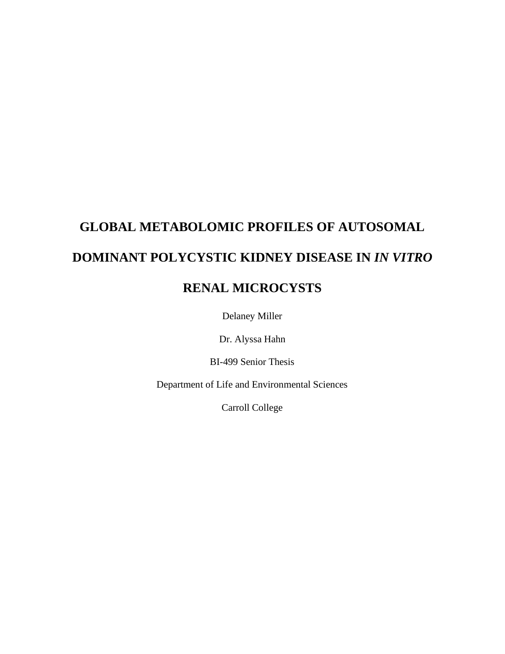# **GLOBAL METABOLOMIC PROFILES OF AUTOSOMAL DOMINANT POLYCYSTIC KIDNEY DISEASE IN** *IN VITRO*

## **RENAL MICROCYSTS**

Delaney Miller

Dr. Alyssa Hahn

BI-499 Senior Thesis

Department of Life and Environmental Sciences

Carroll College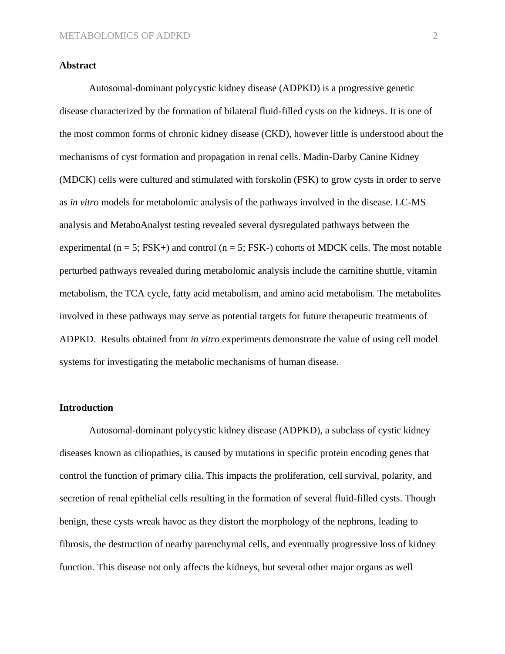## **Abstract**

Autosomal-dominant polycystic kidney disease (ADPKD) is a progressive genetic disease characterized by the formation of bilateral fluid-filled cysts on the kidneys. It is one of the most common forms of chronic kidney disease (CKD), however little is understood about the mechanisms of cyst formation and propagation in renal cells. Madin-Darby Canine Kidney (MDCK) cells were cultured and stimulated with forskolin (FSK) to grow cysts in order to serve as *in vitro* models for metabolomic analysis of the pathways involved in the disease. LC-MS analysis and MetaboAnalyst testing revealed several dysregulated pathways between the experimental ( $n = 5$ ; FSK+) and control ( $n = 5$ ; FSK-) cohorts of MDCK cells. The most notable perturbed pathways revealed during metabolomic analysis include the carnitine shuttle, vitamin metabolism, the TCA cycle, fatty acid metabolism, and amino acid metabolism. The metabolites involved in these pathways may serve as potential targets for future therapeutic treatments of ADPKD. Results obtained from *in vitro* experiments demonstrate the value of using cell model systems for investigating the metabolic mechanisms of human disease.

## **Introduction**

Autosomal-dominant polycystic kidney disease (ADPKD), a subclass of cystic kidney diseases known as ciliopathies, is caused by mutations in specific protein encoding genes that control the function of primary cilia. This impacts the proliferation, cell survival, polarity, and secretion of renal epithelial cells resulting in the formation of several fluid-filled cysts. Though benign, these cysts wreak havoc as they distort the morphology of the nephrons, leading to fibrosis, the destruction of nearby parenchymal cells, and eventually progressive loss of kidney function. This disease not only affects the kidneys, but several other major organs as well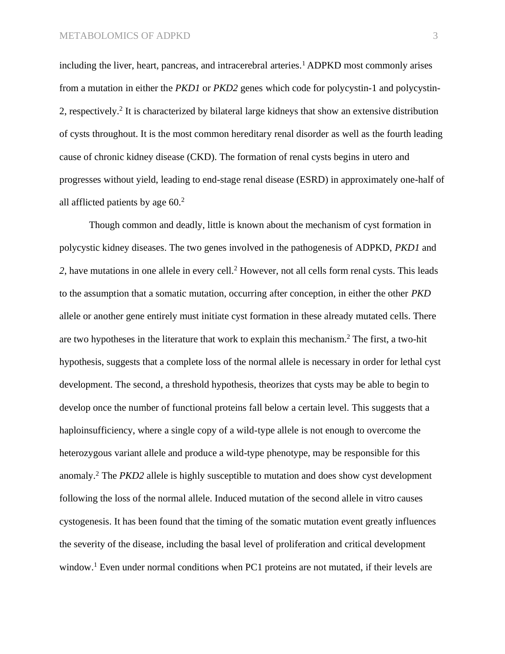including the liver, heart, pancreas, and intracerebral arteries.<sup>1</sup> ADPKD most commonly arises from a mutation in either the *PKD1* or *PKD2* genes which code for polycystin-1 and polycystin-2, respectively.<sup>2</sup> It is characterized by bilateral large kidneys that show an extensive distribution of cysts throughout. It is the most common hereditary renal disorder as well as the fourth leading cause of chronic kidney disease (CKD). The formation of renal cysts begins in utero and progresses without yield, leading to end-stage renal disease (ESRD) in approximately one-half of all afflicted patients by age 60.<sup>2</sup>

Though common and deadly, little is known about the mechanism of cyst formation in polycystic kidney diseases. The two genes involved in the pathogenesis of ADPKD, *PKD1* and 2, have mutations in one allele in every cell.<sup>2</sup> However, not all cells form renal cysts. This leads to the assumption that a somatic mutation, occurring after conception, in either the other *PKD* allele or another gene entirely must initiate cyst formation in these already mutated cells. There are two hypotheses in the literature that work to explain this mechanism.<sup>2</sup> The first, a two-hit hypothesis, suggests that a complete loss of the normal allele is necessary in order for lethal cyst development. The second, a threshold hypothesis, theorizes that cysts may be able to begin to develop once the number of functional proteins fall below a certain level. This suggests that a haploinsufficiency, where a single copy of a wild-type allele is not enough to overcome the heterozygous variant allele and produce a wild-type phenotype, may be responsible for this anomaly.<sup>2</sup> The *PKD2* allele is highly susceptible to mutation and does show cyst development following the loss of the normal allele. Induced mutation of the second allele in vitro causes cystogenesis. It has been found that the timing of the somatic mutation event greatly influences the severity of the disease, including the basal level of proliferation and critical development window.<sup>1</sup> Even under normal conditions when PC1 proteins are not mutated, if their levels are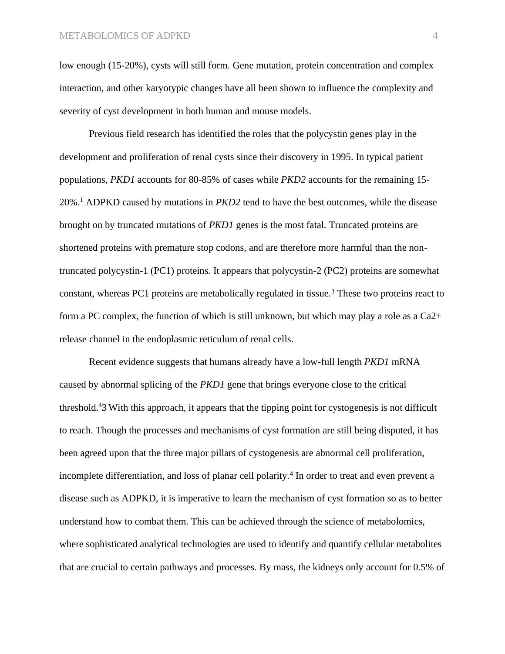low enough (15-20%), cysts will still form. Gene mutation, protein concentration and complex interaction, and other karyotypic changes have all been shown to influence the complexity and severity of cyst development in both human and mouse models.

Previous field research has identified the roles that the polycystin genes play in the development and proliferation of renal cysts since their discovery in 1995. In typical patient populations, *PKD1* accounts for 80-85% of cases while *PKD2* accounts for the remaining 15- 20%.<sup>1</sup> ADPKD caused by mutations in *PKD2* tend to have the best outcomes, while the disease brought on by truncated mutations of *PKD1* genes is the most fatal. Truncated proteins are shortened proteins with premature stop codons, and are therefore more harmful than the nontruncated polycystin-1 (PC1) proteins. It appears that polycystin-2 (PC2) proteins are somewhat constant, whereas PC1 proteins are metabolically regulated in tissue.<sup>3</sup> These two proteins react to form a PC complex, the function of which is still unknown, but which may play a role as a Ca2+ release channel in the endoplasmic reticulum of renal cells.

Recent evidence suggests that humans already have a low-full length *PKD1* mRNA caused by abnormal splicing of the *PKD1* gene that brings everyone close to the critical threshold.<sup>4</sup>3 With this approach, it appears that the tipping point for cystogenesis is not difficult to reach. Though the processes and mechanisms of cyst formation are still being disputed, it has been agreed upon that the three major pillars of cystogenesis are abnormal cell proliferation, incomplete differentiation, and loss of planar cell polarity.<sup>4</sup> In order to treat and even prevent a disease such as ADPKD, it is imperative to learn the mechanism of cyst formation so as to better understand how to combat them. This can be achieved through the science of metabolomics, where sophisticated analytical technologies are used to identify and quantify cellular metabolites that are crucial to certain pathways and processes. By mass, the kidneys only account for 0.5% of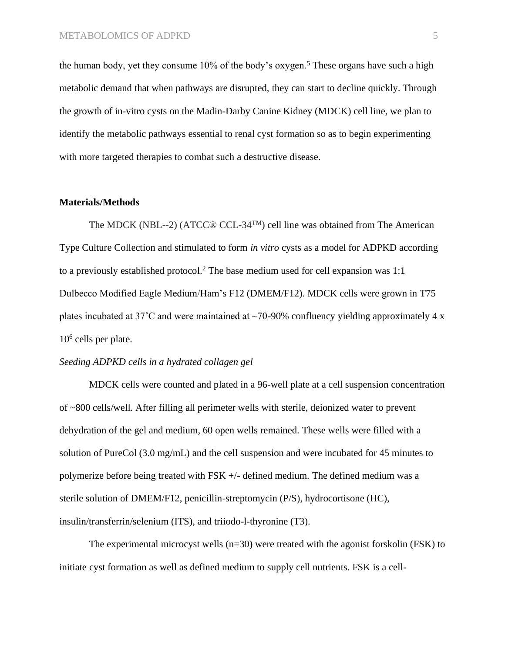the human body, yet they consume  $10\%$  of the body's oxygen.<sup>5</sup> These organs have such a high metabolic demand that when pathways are disrupted, they can start to decline quickly. Through the growth of in-vitro cysts on the Madin-Darby Canine Kidney (MDCK) cell line, we plan to identify the metabolic pathways essential to renal cyst formation so as to begin experimenting with more targeted therapies to combat such a destructive disease.

## **Materials/Methods**

The MDCK (NBL--2) (ATCC® CCL-34<sup>TM</sup>) cell line was obtained from The American Type Culture Collection and stimulated to form *in vitro* cysts as a model for ADPKD according to a previously established protocol.<sup>2</sup> The base medium used for cell expansion was 1:1 Dulbecco Modified Eagle Medium/Ham's F12 (DMEM/F12). MDCK cells were grown in T75 plates incubated at 37°C and were maintained at ~70-90% confluency yielding approximately 4 x 10<sup>6</sup> cells per plate.

## *Seeding ADPKD cells in a hydrated collagen gel*

MDCK cells were counted and plated in a 96-well plate at a cell suspension concentration of ~800 cells/well. After filling all perimeter wells with sterile, deionized water to prevent dehydration of the gel and medium, 60 open wells remained. These wells were filled with a solution of PureCol (3.0 mg/mL) and the cell suspension and were incubated for 45 minutes to polymerize before being treated with FSK +/- defined medium. The defined medium was a sterile solution of DMEM/F12, penicillin-streptomycin (P/S), hydrocortisone (HC), insulin/transferrin/selenium (ITS), and triiodo-l-thyronine (T3).

The experimental microcyst wells (n=30) were treated with the agonist forskolin (FSK) to initiate cyst formation as well as defined medium to supply cell nutrients. FSK is a cell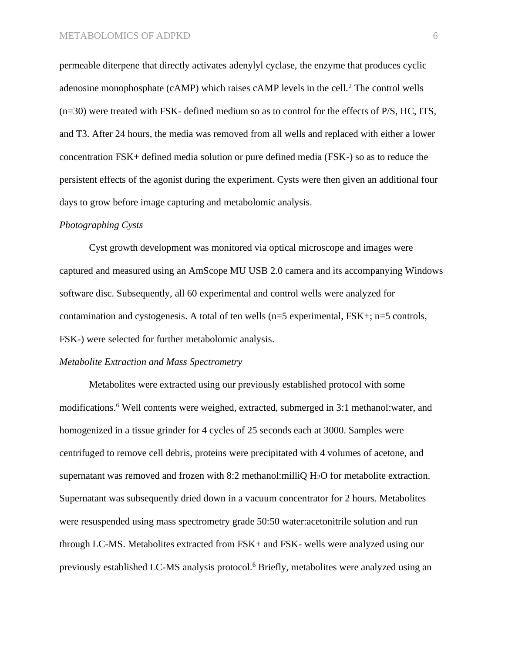permeable diterpene that directly activates adenylyl cyclase, the enzyme that produces cyclic adenosine monophosphate (cAMP) which raises cAMP levels in the cell.<sup>2</sup> The control wells (n=30) were treated with FSK- defined medium so as to control for the effects of P/S, HC, ITS, and T3. After 24 hours, the media was removed from all wells and replaced with either a lower concentration FSK+ defined media solution or pure defined media (FSK-) so as to reduce the persistent effects of the agonist during the experiment. Cysts were then given an additional four days to grow before image capturing and metabolomic analysis.

## *Photographing Cysts*

Cyst growth development was monitored via optical microscope and images were captured and measured using an AmScope MU USB 2.0 camera and its accompanying Windows software disc. Subsequently, all 60 experimental and control wells were analyzed for contamination and cystogenesis. A total of ten wells ( $n=5$  experimental,  $FSK+$ ;  $n=5$  controls, FSK-) were selected for further metabolomic analysis.

## *Metabolite Extraction and Mass Spectrometry*

Metabolites were extracted using our previously established protocol with some modifications.<sup>6</sup> Well contents were weighed, extracted, submerged in 3:1 methanol:water, and homogenized in a tissue grinder for 4 cycles of 25 seconds each at 3000. Samples were centrifuged to remove cell debris, proteins were precipitated with 4 volumes of acetone, and supernatant was removed and frozen with 8:2 methanol:milliQ H<sub>2</sub>O for metabolite extraction. Supernatant was subsequently dried down in a vacuum concentrator for 2 hours. Metabolites were resuspended using mass spectrometry grade 50:50 water:acetonitrile solution and run through LC-MS. Metabolites extracted from FSK+ and FSK- wells were analyzed using our previously established LC-MS analysis protocol.<sup>6</sup> Briefly, metabolites were analyzed using an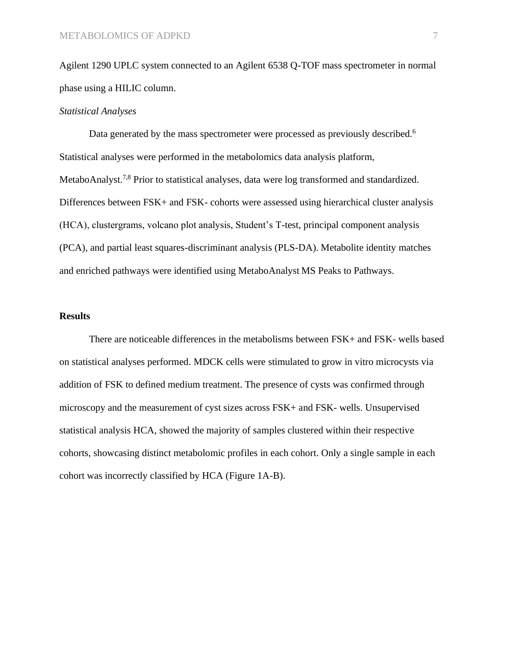Agilent 1290 UPLC system connected to an Agilent 6538 Q-TOF mass spectrometer in normal phase using a HILIC column.

## *Statistical Analyses*

Data generated by the mass spectrometer were processed as previously described.<sup>6</sup> Statistical analyses were performed in the metabolomics data analysis platform, MetaboAnalyst.<sup>7,8</sup> Prior to statistical analyses, data were log transformed and standardized. Differences between FSK+ and FSK- cohorts were assessed using hierarchical cluster analysis (HCA), clustergrams, volcano plot analysis, Student's T-test, principal component analysis (PCA), and partial least squares-discriminant analysis (PLS-DA). Metabolite identity matches and enriched pathways were identified using MetaboAnalyst MS Peaks to Pathways.

## **Results**

There are noticeable differences in the metabolisms between FSK+ and FSK- wells based on statistical analyses performed. MDCK cells were stimulated to grow in vitro microcysts via addition of FSK to defined medium treatment. The presence of cysts was confirmed through microscopy and the measurement of cyst sizes across FSK+ and FSK- wells. Unsupervised statistical analysis HCA, showed the majority of samples clustered within their respective cohorts, showcasing distinct metabolomic profiles in each cohort. Only a single sample in each cohort was incorrectly classified by HCA (Figure 1A-B).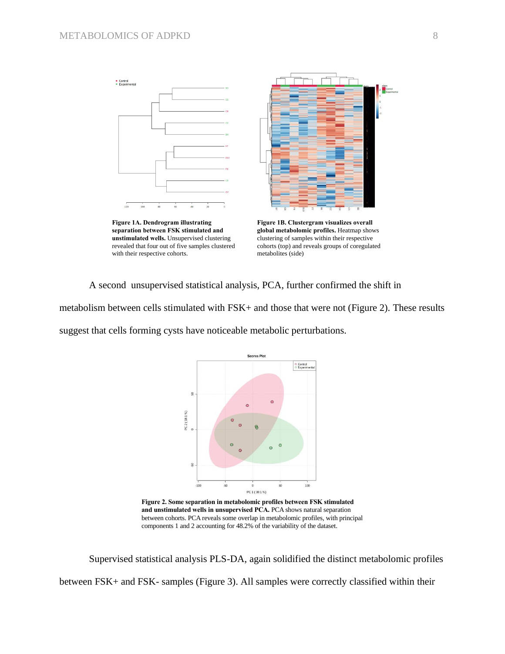

A second unsupervised statistical analysis, PCA, further confirmed the shift in

metabolism between cells stimulated with FSK+ and those that were not (Figure 2). These results suggest that cells forming cysts have noticeable metabolic perturbations.



**Figure 2. Some separation in metabolomic profiles between FSK stimulated and unstimulated wells in unsupervised PCA.** PCA shows natural separation between cohorts. PCA reveals some overlap in metabolomic profiles, with principal components 1 and 2 accounting for 48.2% of the variability of the dataset.

Supervised statistical analysis PLS-DA, again solidified the distinct metabolomic profiles between FSK+ and FSK- samples (Figure 3). All samples were correctly classified within their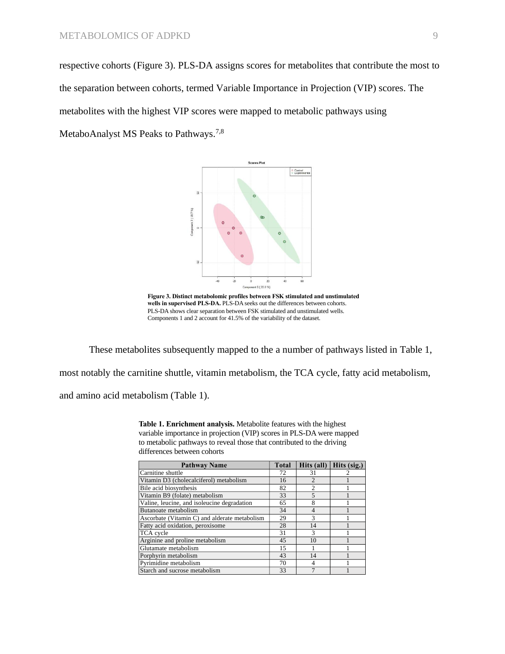respective cohorts (Figure 3). PLS-DA assigns scores for metabolites that contribute the most to the separation between cohorts, termed Variable Importance in Projection (VIP) scores. The metabolites with the highest VIP scores were mapped to metabolic pathways using MetaboAnalyst MS Peaks to Pathways.<sup>7,8</sup>



**Figure 3. Distinct metabolomic profiles between FSK stimulated and unstimulated wells in supervised PLS-DA.** PLS-DA seeks out the differences between cohorts. PLS-DA shows clear separation between FSK stimulated and unstimulated wells. Components 1 and 2 account for 41.5% of the variability of the dataset.

These metabolites subsequently mapped to the a number of pathways listed in Table 1, most notably the carnitine shuttle, vitamin metabolism, the TCA cycle, fatty acid metabolism, and amino acid metabolism (Table 1).

> **Table 1. Enrichment analysis.** Metabolite features with the highest variable importance in projection (VIP) scores in PLS-DA were mapped to metabolic pathways to reveal those that contributed to the driving differences between cohorts

| <b>Pathway Name</b>                           | <b>Total</b> | Hits (all)     | Hits (sig.) |
|-----------------------------------------------|--------------|----------------|-------------|
| Carnitine shuttle                             | 72           | 31             |             |
| Vitamin D3 (cholecalciferol) metabolism       | 16           | $\mathfrak{D}$ |             |
| Bile acid biosynthesis                        | 82           | $\overline{c}$ |             |
| Vitamin B9 (folate) metabolism                | 33           | $\overline{5}$ |             |
| Valine, leucine, and isoleucine degradation   | 65           | 8              |             |
| Butanoate metabolism                          | 34           | 4              |             |
| Ascorbate (Vitamin C) and alderate metabolism | 29           | 3              |             |
| Fatty acid oxidation, peroxisome              | 28           | 14             |             |
| TCA cycle                                     | 31           | 3              |             |
| Arginine and proline metabolism               | 45           | 10             |             |
| Glutamate metabolism                          | 15           |                |             |
| Porphyrin metabolism                          | 43           | 14             |             |
| Pyrimidine metabolism                         | 70           | 4              |             |
| Starch and sucrose metabolism                 | 33           |                |             |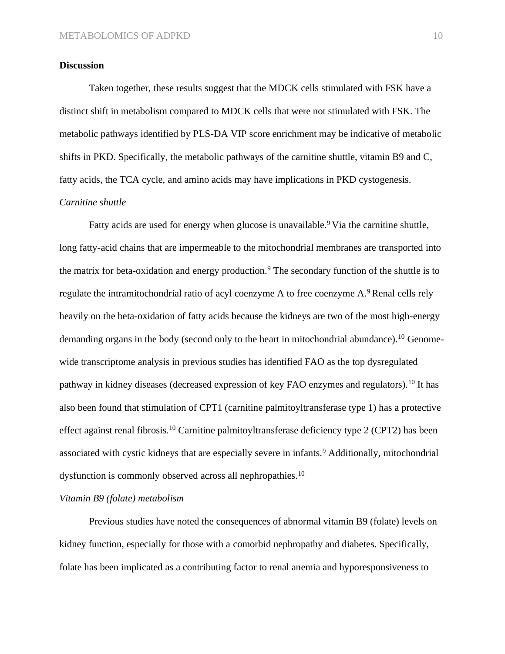## **Discussion**

Taken together, these results suggest that the MDCK cells stimulated with FSK have a distinct shift in metabolism compared to MDCK cells that were not stimulated with FSK. The metabolic pathways identified by PLS-DA VIP score enrichment may be indicative of metabolic shifts in PKD. Specifically, the metabolic pathways of the carnitine shuttle, vitamin B9 and C, fatty acids, the TCA cycle, and amino acids may have implications in PKD cystogenesis.

## *Carnitine shuttle*

Fatty acids are used for energy when glucose is unavailable.<sup>9</sup> Via the carnitine shuttle, long fatty-acid chains that are impermeable to the mitochondrial membranes are transported into the matrix for beta-oxidation and energy production.<sup>9</sup> The secondary function of the shuttle is to regulate the intramitochondrial ratio of acyl coenzyme A to free coenzyme  $A$ .<sup>9</sup>Renal cells rely heavily on the beta-oxidation of fatty acids because the kidneys are two of the most high-energy demanding organs in the body (second only to the heart in mitochondrial abundance).<sup>10</sup> Genomewide transcriptome analysis in previous studies has identified FAO as the top dysregulated pathway in kidney diseases (decreased expression of key FAO enzymes and regulators).<sup>10</sup> It has also been found that stimulation of CPT1 (carnitine palmitoyltransferase type 1) has a protective effect against renal fibrosis.<sup>10</sup> Carnitine palmitoyltransferase deficiency type 2 (CPT2) has been associated with cystic kidneys that are especially severe in infants.<sup>9</sup> Additionally, mitochondrial dysfunction is commonly observed across all nephropathies.<sup>10</sup>

## *Vitamin B9 (folate) metabolism*

Previous studies have noted the consequences of abnormal vitamin B9 (folate) levels on kidney function, especially for those with a comorbid nephropathy and diabetes. Specifically, folate has been implicated as a contributing factor to renal anemia and hyporesponsiveness to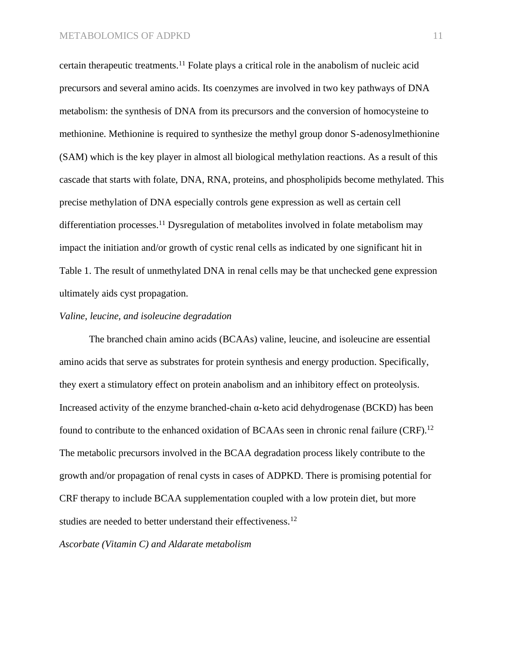certain therapeutic treatments.<sup>11</sup> Folate plays a critical role in the anabolism of nucleic acid precursors and several amino acids. Its coenzymes are involved in two key pathways of DNA metabolism: the synthesis of DNA from its precursors and the conversion of homocysteine to methionine. Methionine is required to synthesize the methyl group donor S-adenosylmethionine (SAM) which is the key player in almost all biological methylation reactions. As a result of this cascade that starts with folate, DNA, RNA, proteins, and phospholipids become methylated. This precise methylation of DNA especially controls gene expression as well as certain cell differentiation processes.<sup>11</sup> Dysregulation of metabolites involved in folate metabolism may impact the initiation and/or growth of cystic renal cells as indicated by one significant hit in Table 1. The result of unmethylated DNA in renal cells may be that unchecked gene expression ultimately aids cyst propagation.

## *Valine, leucine, and isoleucine degradation*

The branched chain amino acids (BCAAs) valine, leucine, and isoleucine are essential amino acids that serve as substrates for protein synthesis and energy production. Specifically, they exert a stimulatory effect on protein anabolism and an inhibitory effect on proteolysis. Increased activity of the enzyme branched-chain α-keto acid dehydrogenase (BCKD) has been found to contribute to the enhanced oxidation of BCAAs seen in chronic renal failure (CRF).<sup>12</sup> The metabolic precursors involved in the BCAA degradation process likely contribute to the growth and/or propagation of renal cysts in cases of ADPKD. There is promising potential for CRF therapy to include BCAA supplementation coupled with a low protein diet, but more studies are needed to better understand their effectiveness.<sup>12</sup>

*Ascorbate (Vitamin C) and Aldarate metabolism*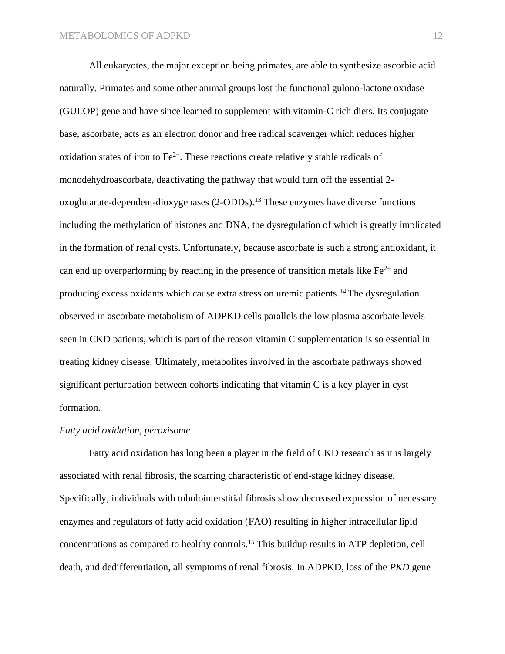All eukaryotes, the major exception being primates, are able to synthesize ascorbic acid naturally. Primates and some other animal groups lost the functional gulono-lactone oxidase (GULOP) gene and have since learned to supplement with vitamin-C rich diets. Its conjugate base, ascorbate, acts as an electron donor and free radical scavenger which reduces higher oxidation states of iron to  $Fe^{2+}$ . These reactions create relatively stable radicals of monodehydroascorbate, deactivating the pathway that would turn off the essential 2 oxoglutarate-dependent-dioxygenases (2-ODDs).<sup>13</sup> These enzymes have diverse functions including the methylation of histones and DNA, the dysregulation of which is greatly implicated in the formation of renal cysts. Unfortunately, because ascorbate is such a strong antioxidant, it can end up overperforming by reacting in the presence of transition metals like  $Fe^{2+}$  and producing excess oxidants which cause extra stress on uremic patients.<sup>14</sup>The dysregulation observed in ascorbate metabolism of ADPKD cells parallels the low plasma ascorbate levels seen in CKD patients, which is part of the reason vitamin C supplementation is so essential in treating kidney disease. Ultimately, metabolites involved in the ascorbate pathways showed significant perturbation between cohorts indicating that vitamin C is a key player in cyst formation.

## *Fatty acid oxidation, peroxisome*

Fatty acid oxidation has long been a player in the field of CKD research as it is largely associated with renal fibrosis, the scarring characteristic of end-stage kidney disease. Specifically, individuals with tubulointerstitial fibrosis show decreased expression of necessary enzymes and regulators of fatty acid oxidation (FAO) resulting in higher intracellular lipid concentrations as compared to healthy controls.<sup>15</sup> This buildup results in ATP depletion, cell death, and dedifferentiation, all symptoms of renal fibrosis. In ADPKD, loss of the *PKD* gene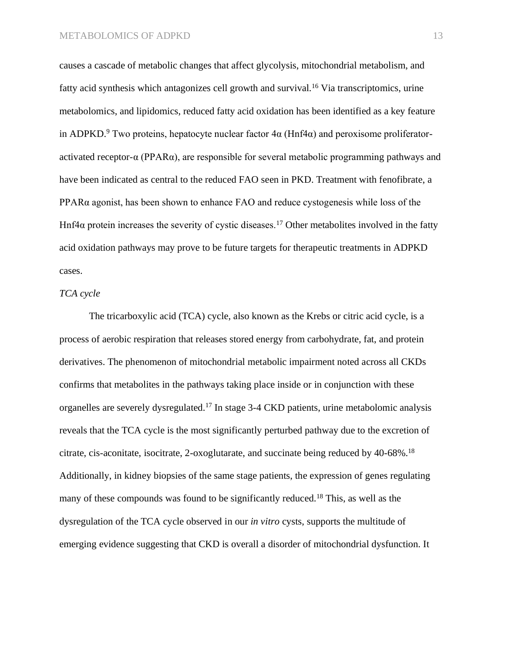## METABOLOMICS OF ADPKD 13

causes a cascade of metabolic changes that affect glycolysis, mitochondrial metabolism, and fatty acid synthesis which antagonizes cell growth and survival.<sup>16</sup> Via transcriptomics, urine metabolomics, and lipidomics, reduced fatty acid oxidation has been identified as a key feature in ADPKD.<sup>9</sup> Two proteins, hepatocyte nuclear factor  $4\alpha$  (Hnf4 $\alpha$ ) and peroxisome proliferatoractivated receptor- $\alpha$  (PPAR $\alpha$ ), are responsible for several metabolic programming pathways and have been indicated as central to the reduced FAO seen in PKD. Treatment with fenofibrate, a PPARα agonist, has been shown to enhance FAO and reduce cystogenesis while loss of the Hnf4 $\alpha$  protein increases the severity of cystic diseases.<sup>17</sup> Other metabolites involved in the fatty acid oxidation pathways may prove to be future targets for therapeutic treatments in ADPKD cases.

## *TCA cycle*

The tricarboxylic acid (TCA) cycle, also known as the Krebs or citric acid cycle, is a process of aerobic respiration that releases stored energy from carbohydrate, fat, and protein derivatives. The phenomenon of mitochondrial metabolic impairment noted across all CKDs confirms that metabolites in the pathways taking place inside or in conjunction with these organelles are severely dysregulated.<sup>17</sup> In stage 3-4 CKD patients, urine metabolomic analysis reveals that the TCA cycle is the most significantly perturbed pathway due to the excretion of citrate, cis-aconitate, isocitrate, 2-oxoglutarate, and succinate being reduced by 40-68%.<sup>18</sup> Additionally, in kidney biopsies of the same stage patients, the expression of genes regulating many of these compounds was found to be significantly reduced.<sup>18</sup> This, as well as the dysregulation of the TCA cycle observed in our *in vitro* cysts, supports the multitude of emerging evidence suggesting that CKD is overall a disorder of mitochondrial dysfunction. It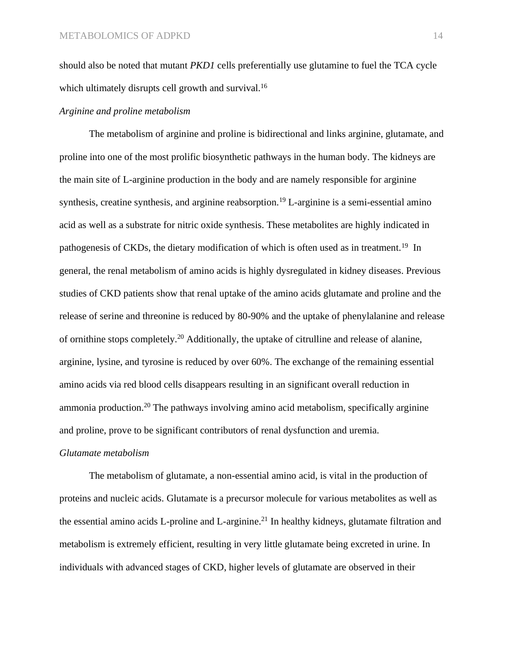should also be noted that mutant *PKD1* cells preferentially use glutamine to fuel the TCA cycle which ultimately disrupts cell growth and survival.<sup>16</sup>

## *Arginine and proline metabolism*

The metabolism of arginine and proline is bidirectional and links arginine, glutamate, and proline into one of the most prolific biosynthetic pathways in the human body. The kidneys are the main site of L-arginine production in the body and are namely responsible for arginine synthesis, creatine synthesis, and arginine reabsorption.<sup>19</sup> L-arginine is a semi-essential amino acid as well as a substrate for nitric oxide synthesis. These metabolites are highly indicated in pathogenesis of CKDs, the dietary modification of which is often used as in treatment.<sup>19</sup> In general, the renal metabolism of amino acids is highly dysregulated in kidney diseases. Previous studies of CKD patients show that renal uptake of the amino acids glutamate and proline and the release of serine and threonine is reduced by 80-90% and the uptake of phenylalanine and release of ornithine stops completely.<sup>20</sup> Additionally, the uptake of citrulline and release of alanine, arginine, lysine, and tyrosine is reduced by over 60%. The exchange of the remaining essential amino acids via red blood cells disappears resulting in an significant overall reduction in ammonia production.<sup>20</sup> The pathways involving amino acid metabolism, specifically arginine and proline, prove to be significant contributors of renal dysfunction and uremia.

#### *Glutamate metabolism*

The metabolism of glutamate, a non-essential amino acid, is vital in the production of proteins and nucleic acids. Glutamate is a precursor molecule for various metabolites as well as the essential amino acids L-proline and L-arginine.<sup>21</sup> In healthy kidneys, glutamate filtration and metabolism is extremely efficient, resulting in very little glutamate being excreted in urine. In individuals with advanced stages of CKD, higher levels of glutamate are observed in their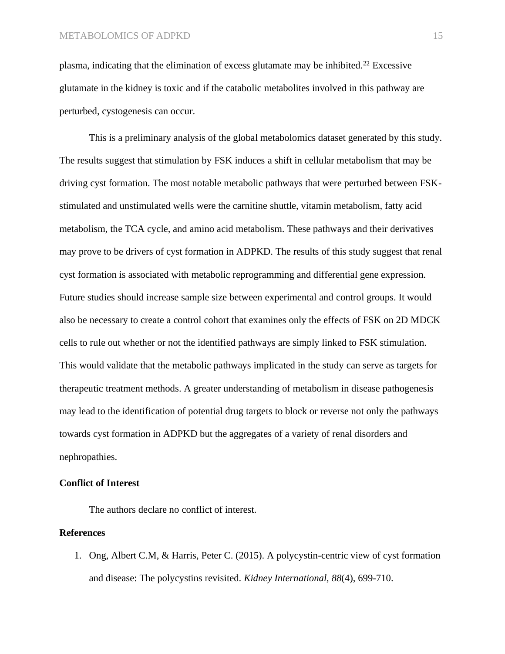plasma, indicating that the elimination of excess glutamate may be inhibited.<sup>22</sup> Excessive glutamate in the kidney is toxic and if the catabolic metabolites involved in this pathway are perturbed, cystogenesis can occur.

This is a preliminary analysis of the global metabolomics dataset generated by this study. The results suggest that stimulation by FSK induces a shift in cellular metabolism that may be driving cyst formation. The most notable metabolic pathways that were perturbed between FSKstimulated and unstimulated wells were the carnitine shuttle, vitamin metabolism, fatty acid metabolism, the TCA cycle, and amino acid metabolism. These pathways and their derivatives may prove to be drivers of cyst formation in ADPKD. The results of this study suggest that renal cyst formation is associated with metabolic reprogramming and differential gene expression. Future studies should increase sample size between experimental and control groups. It would also be necessary to create a control cohort that examines only the effects of FSK on 2D MDCK cells to rule out whether or not the identified pathways are simply linked to FSK stimulation. This would validate that the metabolic pathways implicated in the study can serve as targets for therapeutic treatment methods. A greater understanding of metabolism in disease pathogenesis may lead to the identification of potential drug targets to block or reverse not only the pathways towards cyst formation in ADPKD but the aggregates of a variety of renal disorders and nephropathies.

## **Conflict of Interest**

The authors declare no conflict of interest.

## **References**

1. Ong, Albert C.M, & Harris, Peter C. (2015). A polycystin-centric view of cyst formation and disease: The polycystins revisited. *Kidney International, 88*(4), 699-710.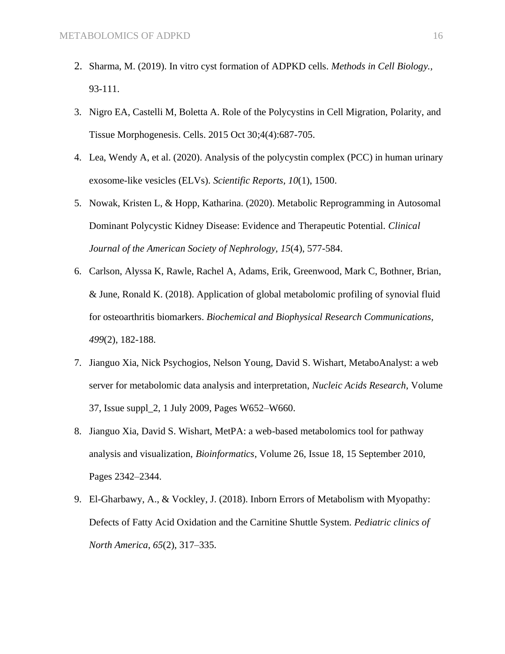- 2. Sharma, M. (2019). In vitro cyst formation of ADPKD cells. *Methods in Cell Biology.,* 93-111.
- 3. Nigro EA, Castelli M, Boletta A. Role of the Polycystins in Cell Migration, Polarity, and Tissue Morphogenesis. Cells. 2015 Oct 30;4(4):687-705.
- 4. Lea, Wendy A, et al. (2020). Analysis of the polycystin complex (PCC) in human urinary exosome-like vesicles (ELVs). *Scientific Reports, 10*(1), 1500.
- 5. Nowak, Kristen L, & Hopp, Katharina. (2020). Metabolic Reprogramming in Autosomal Dominant Polycystic Kidney Disease: Evidence and Therapeutic Potential. *Clinical Journal of the American Society of Nephrology, 15*(4), 577-584.
- 6. Carlson, Alyssa K, Rawle, Rachel A, Adams, Erik, Greenwood, Mark C, Bothner, Brian, & June, Ronald K. (2018). Application of global metabolomic profiling of synovial fluid for osteoarthritis biomarkers. *Biochemical and Biophysical Research Communications, 499*(2), 182-188.
- 7. Jianguo Xia, Nick Psychogios, Nelson Young, David S. Wishart, MetaboAnalyst: a web server for metabolomic data analysis and interpretation, *Nucleic Acids Research*, Volume 37, Issue suppl\_2, 1 July 2009, Pages W652–W660.
- 8. Jianguo Xia, David S. Wishart, MetPA: a web-based metabolomics tool for pathway analysis and visualization, *Bioinformatics*, Volume 26, Issue 18, 15 September 2010, Pages 2342–2344.
- 9. El-Gharbawy, A., & Vockley, J. (2018). Inborn Errors of Metabolism with Myopathy: Defects of Fatty Acid Oxidation and the Carnitine Shuttle System. *Pediatric clinics of North America*, *65*(2), 317–335.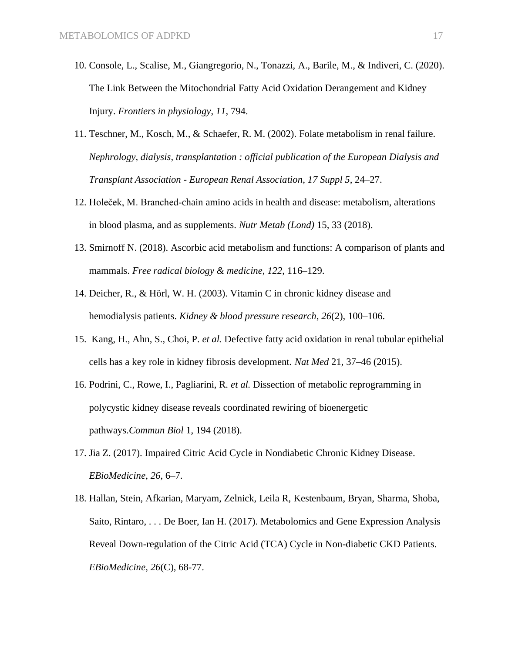- 10. Console, L., Scalise, M., Giangregorio, N., Tonazzi, A., Barile, M., & Indiveri, C. (2020). The Link Between the Mitochondrial Fatty Acid Oxidation Derangement and Kidney Injury. *Frontiers in physiology*, *11*, 794.
- 11. Teschner, M., Kosch, M., & Schaefer, R. M. (2002). Folate metabolism in renal failure. *Nephrology, dialysis, transplantation : official publication of the European Dialysis and Transplant Association - European Renal Association*, *17 Suppl 5*, 24–27.
- 12. Holeček, M. Branched-chain amino acids in health and disease: metabolism, alterations in blood plasma, and as supplements. *Nutr Metab (Lond)* 15, 33 (2018).
- 13. Smirnoff N. (2018). Ascorbic acid metabolism and functions: A comparison of plants and mammals. *Free radical biology & medicine*, *122*, 116–129.
- 14. Deicher, R., & Hörl, W. H. (2003). Vitamin C in chronic kidney disease and hemodialysis patients. *Kidney & blood pressure research*, *26*(2), 100–106.
- 15. Kang, H., Ahn, S., Choi, P. *et al.* Defective fatty acid oxidation in renal tubular epithelial cells has a key role in kidney fibrosis development. *Nat Med* 21, 37–46 (2015).
- 16. Podrini, C., Rowe, I., Pagliarini, R. *et al.* Dissection of metabolic reprogramming in polycystic kidney disease reveals coordinated rewiring of bioenergetic pathways.*Commun Biol* 1, 194 (2018).
- 17. Jia Z. (2017). Impaired Citric Acid Cycle in Nondiabetic Chronic Kidney Disease. *EBioMedicine*, *26*, 6–7.
- 18. Hallan, Stein, Afkarian, Maryam, Zelnick, Leila R, Kestenbaum, Bryan, Sharma, Shoba, Saito, Rintaro, . . . De Boer, Ian H. (2017). Metabolomics and Gene Expression Analysis Reveal Down-regulation of the Citric Acid (TCA) Cycle in Non-diabetic CKD Patients. *EBioMedicine, 26*(C), 68-77.